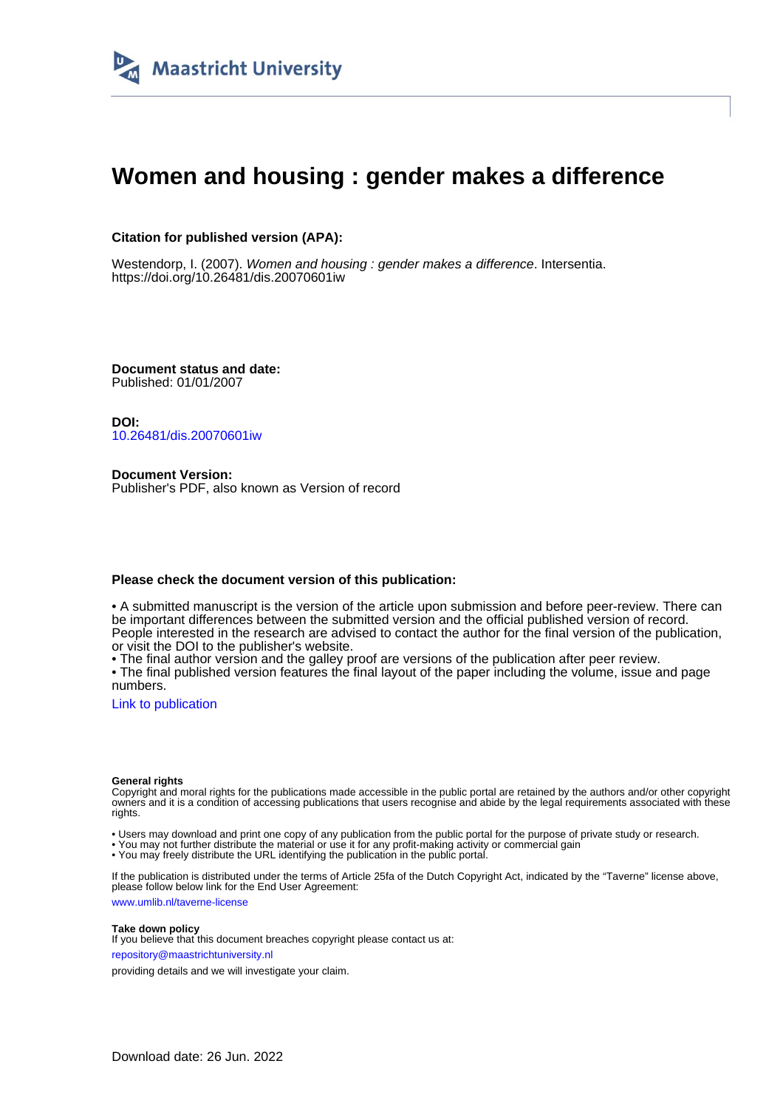

# **Women and housing : gender makes a difference**

### **Citation for published version (APA):**

Westendorp, I. (2007). Women and housing : gender makes a difference. Intersentia. <https://doi.org/10.26481/dis.20070601iw>

**Document status and date:** Published: 01/01/2007

**DOI:** [10.26481/dis.20070601iw](https://doi.org/10.26481/dis.20070601iw)

**Document Version:** Publisher's PDF, also known as Version of record

#### **Please check the document version of this publication:**

• A submitted manuscript is the version of the article upon submission and before peer-review. There can be important differences between the submitted version and the official published version of record. People interested in the research are advised to contact the author for the final version of the publication, or visit the DOI to the publisher's website.

• The final author version and the galley proof are versions of the publication after peer review.

• The final published version features the final layout of the paper including the volume, issue and page numbers.

[Link to publication](https://cris.maastrichtuniversity.nl/en/publications/3c48b2db-5aa4-46f1-abe0-6f918270430e)

#### **General rights**

Copyright and moral rights for the publications made accessible in the public portal are retained by the authors and/or other copyright owners and it is a condition of accessing publications that users recognise and abide by the legal requirements associated with these rights.

• Users may download and print one copy of any publication from the public portal for the purpose of private study or research.

• You may not further distribute the material or use it for any profit-making activity or commercial gain

• You may freely distribute the URL identifying the publication in the public portal.

If the publication is distributed under the terms of Article 25fa of the Dutch Copyright Act, indicated by the "Taverne" license above, please follow below link for the End User Agreement:

www.umlib.nl/taverne-license

#### **Take down policy**

If you believe that this document breaches copyright please contact us at: repository@maastrichtuniversity.nl

providing details and we will investigate your claim.